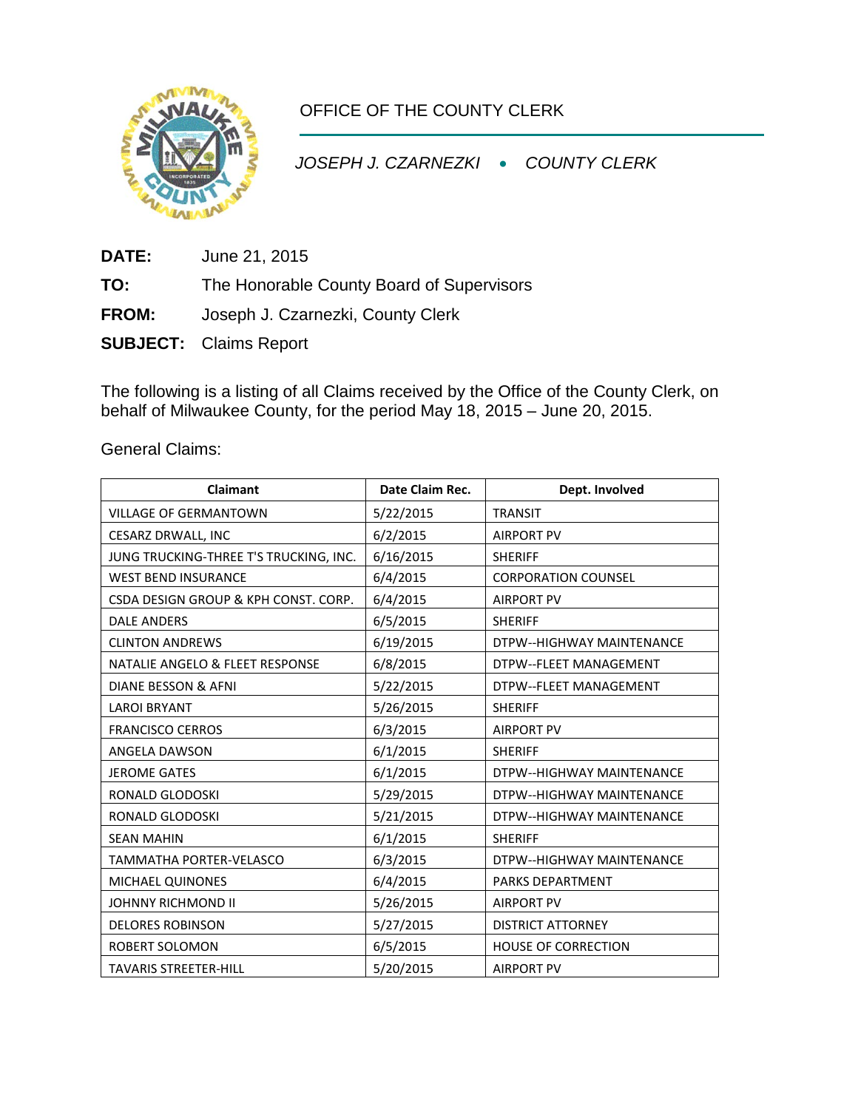

OFFICE OF THE COUNTY CLERK

*JOSEPH J. CZARNEZKI* • *COUNTY CLERK*

**DATE:** June 21, 2015

**TO:** The Honorable County Board of Supervisors

**FROM:** Joseph J. Czarnezki, County Clerk

**SUBJECT:** Claims Report

The following is a listing of all Claims received by the Office of the County Clerk, on behalf of Milwaukee County, for the period May 18, 2015 – June 20, 2015.

General Claims:

| <b>Claimant</b>                        | Date Claim Rec. | Dept. Involved             |
|----------------------------------------|-----------------|----------------------------|
| <b>VILLAGE OF GERMANTOWN</b>           | 5/22/2015       | <b>TRANSIT</b>             |
| <b>CESARZ DRWALL, INC</b>              | 6/2/2015        | <b>AIRPORT PV</b>          |
| JUNG TRUCKING-THREE T'S TRUCKING, INC. | 6/16/2015       | <b>SHERIFF</b>             |
| <b>WEST BEND INSURANCE</b>             | 6/4/2015        | <b>CORPORATION COUNSEL</b> |
| CSDA DESIGN GROUP & KPH CONST. CORP.   | 6/4/2015        | <b>AIRPORT PV</b>          |
| <b>DALE ANDERS</b>                     | 6/5/2015        | <b>SHERIFF</b>             |
| <b>CLINTON ANDREWS</b>                 | 6/19/2015       | DTPW--HIGHWAY MAINTENANCE  |
| NATALIE ANGELO & FLEET RESPONSE        | 6/8/2015        | DTPW--FLEET MANAGEMENT     |
| DIANE BESSON & AFNI                    | 5/22/2015       | DTPW--FLEET MANAGEMENT     |
| <b>LAROI BRYANT</b>                    | 5/26/2015       | <b>SHERIFF</b>             |
| <b>FRANCISCO CERROS</b>                | 6/3/2015        | <b>AIRPORT PV</b>          |
| ANGELA DAWSON                          | 6/1/2015        | <b>SHERIFF</b>             |
| <b>JEROME GATES</b>                    | 6/1/2015        | DTPW--HIGHWAY MAINTENANCE  |
| RONALD GLODOSKI                        | 5/29/2015       | DTPW--HIGHWAY MAINTENANCE  |
| RONALD GLODOSKI                        | 5/21/2015       | DTPW--HIGHWAY MAINTENANCE  |
| <b>SEAN MAHIN</b>                      | 6/1/2015        | <b>SHERIFF</b>             |
| <b>TAMMATHA PORTER-VELASCO</b>         | 6/3/2015        | DTPW--HIGHWAY MAINTENANCE  |
| MICHAEL QUINONES                       | 6/4/2015        | <b>PARKS DEPARTMENT</b>    |
| JOHNNY RICHMOND II                     | 5/26/2015       | <b>AIRPORT PV</b>          |
| <b>DELORES ROBINSON</b>                | 5/27/2015       | <b>DISTRICT ATTORNEY</b>   |
| ROBERT SOLOMON                         | 6/5/2015        | <b>HOUSE OF CORRECTION</b> |
| <b>TAVARIS STREETER-HILL</b>           | 5/20/2015       | <b>AIRPORT PV</b>          |